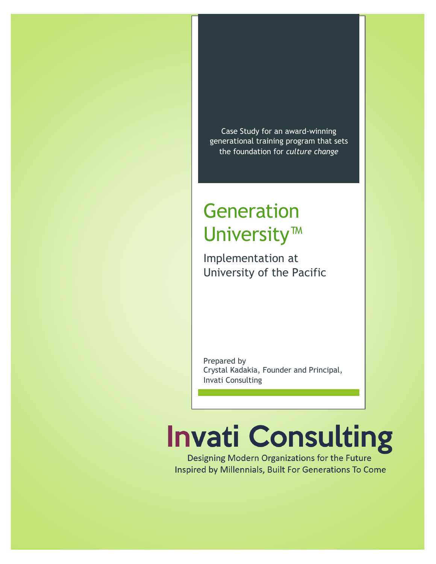Case Study for an award-winning generational training program that sets the foundation for *culture change*

## Generation University™

Implementation at University of the Pacific

Prepared by Crystal Kadakia, Founder and Principal, Invati Consulting

# **Invati Consulting**

Designing Modern Organizations for the Future Inspired by Millennials, Built For Generations To Come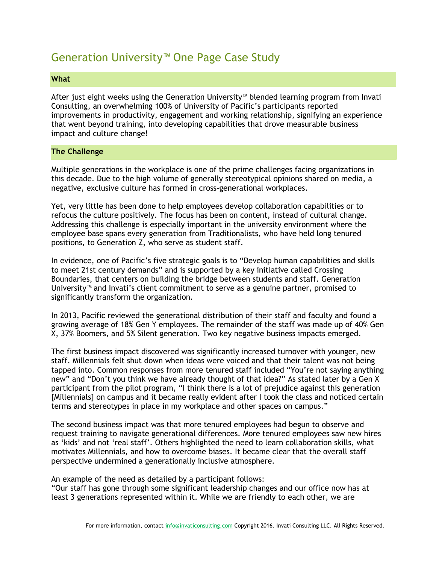### Generation University™ One Page Case Study

#### **What**

After just eight weeks using the Generation University™ blended learning program from Invati Consulting, an overwhelming 100% of University of Pacific's participants reported improvements in productivity, engagement and working relationship, signifying an experience that went beyond training, into developing capabilities that drove measurable business impact and culture change!

#### **The Challenge**

Multiple generations in the workplace is one of the prime challenges facing organizations in this decade. Due to the high volume of generally stereotypical opinions shared on media, a negative, exclusive culture has formed in cross-generational workplaces.

Yet, very little has been done to help employees develop collaboration capabilities or to refocus the culture positively. The focus has been on content, instead of cultural change. Addressing this challenge is especially important in the university environment where the employee base spans every generation from Traditionalists, who have held long tenured positions, to Generation Z, who serve as student staff.

In evidence, one of Pacific's five strategic goals is to "Develop human capabilities and skills to meet 21st century demands" and is supported by a key initiative called Crossing Boundaries, that centers on building the bridge between students and staff. Generation University™ and Invati's client commitment to serve as a genuine partner, promised to significantly transform the organization.

In 2013, Pacific reviewed the generational distribution of their staff and faculty and found a growing average of 18% Gen Y employees. The remainder of the staff was made up of 40% Gen X, 37% Boomers, and 5% Silent generation. Two key negative business impacts emerged.

The first business impact discovered was significantly increased turnover with younger, new staff. Millennials felt shut down when ideas were voiced and that their talent was not being tapped into. Common responses from more tenured staff included "You're not saying anything new" and "Don't you think we have already thought of that idea?" As stated later by a Gen X participant from the pilot program, "I think there is a lot of prejudice against this generation [Millennials] on campus and it became really evident after I took the class and noticed certain terms and stereotypes in place in my workplace and other spaces on campus."

The second business impact was that more tenured employees had begun to observe and request training to navigate generational differences. More tenured employees saw new hires as 'kids' and not 'real staff'. Others highlighted the need to learn collaboration skills, what motivates Millennials, and how to overcome biases. It became clear that the overall staff perspective undermined a generationally inclusive atmosphere.

An example of the need as detailed by a participant follows:

"Our staff has gone through some significant leadership changes and our office now has at least 3 generations represented within it. While we are friendly to each other, we are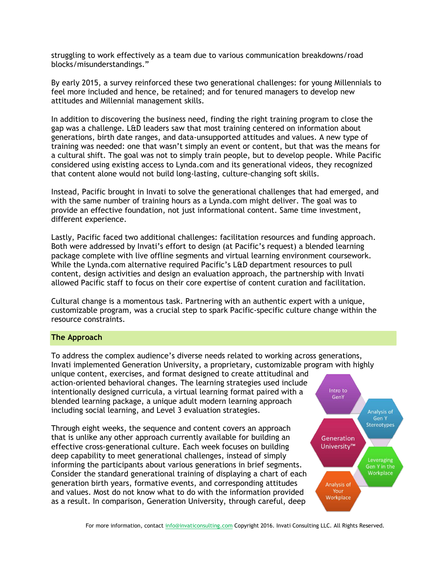struggling to work effectively as a team due to various communication breakdowns/road blocks/misunderstandings."

By early 2015, a survey reinforced these two generational challenges: for young Millennials to feel more included and hence, be retained; and for tenured managers to develop new attitudes and Millennial management skills.

In addition to discovering the business need, finding the right training program to close the gap was a challenge. L&D leaders saw that most training centered on information about generations, birth date ranges, and data-unsupported attitudes and values. A new type of training was needed: one that wasn't simply an event or content, but that was the means for a cultural shift. The goal was not to simply train people, but to develop people. While Pacific considered using existing access to Lynda.com and its generational videos, they recognized that content alone would not build long-lasting, culture-changing soft skills.

Instead, Pacific brought in Invati to solve the generational challenges that had emerged, and with the same number of training hours as a Lynda.com might deliver. The goal was to provide an effective foundation, not just informational content. Same time investment, different experience.

Lastly, Pacific faced two additional challenges: facilitation resources and funding approach. Both were addressed by Invati's effort to design (at Pacific's request) a blended learning package complete with live offline segments and virtual learning environment coursework. While the Lynda.com alternative required Pacific's L&D department resources to pull content, design activities and design an evaluation approach, the partnership with Invati allowed Pacific staff to focus on their core expertise of content curation and facilitation.

Cultural change is a momentous task. Partnering with an authentic expert with a unique, customizable program, was a crucial step to spark Pacific-specific culture change within the resource constraints.

#### **The Approach**

To address the complex audience's diverse needs related to working across generations, Invati implemented Generation University, a proprietary, customizable program with highly unique content, exercises, and format designed to create attitudinal and action-oriented behavioral changes. The learning strategies used include Intro to intentionally designed curricula, a virtual learning format paired with a GenY blended learning package, a unique adult modern learning approach including social learning, and Level 3 evaluation strategies.

Through eight weeks, the sequence and content covers an approach that is unlike any other approach currently available for building an effective cross-generational culture. Each week focuses on building deep capability to meet generational challenges, instead of simply informing the participants about various generations in brief segments. Consider the standard generational training of displaying a chart of each generation birth years, formative events, and corresponding attitudes and values. Most do not know what to do with the information provided as a result. In comparison, Generation University, through careful, deep

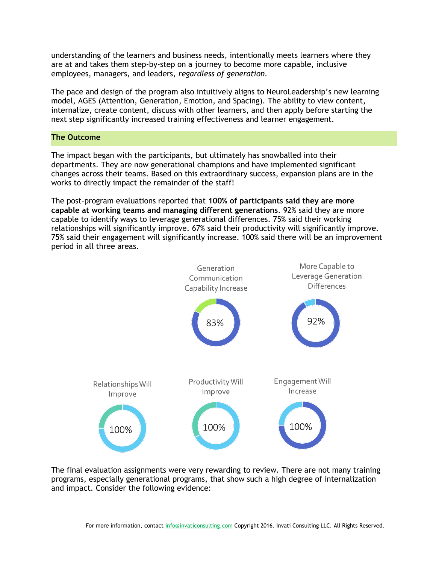understanding of the learners and business needs, intentionally meets learners where they are at and takes them step-by-step on a journey to become more capable, inclusive employees, managers, and leaders, *regardless of generation.*

The pace and design of the program also intuitively aligns to NeuroLeadership's new learning model, AGES (Attention, Generation, Emotion, and Spacing). The ability to view content, internalize, create content, discuss with other learners, and then apply before starting the next step significantly increased training effectiveness and learner engagement.

#### **The Outcome**

The impact began with the participants, but ultimately has snowballed into their departments. They are now generational champions and have implemented significant changes across their teams. Based on this extraordinary success, expansion plans are in the works to directly impact the remainder of the staff!

The post-program evaluations reported that **100% of participants said they are more capable at working teams and managing different generations**. 92% said they are more capable to identify ways to leverage generational differences. 75% said their working relationships will significantly improve. 67% said their productivity will significantly improve. 75% said their engagement will significantly increase. 100% said there will be an improvement period in all three areas.



The final evaluation assignments were very rewarding to review. There are not many training programs, especially generational programs, that show such a high degree of internalization and impact. Consider the following evidence: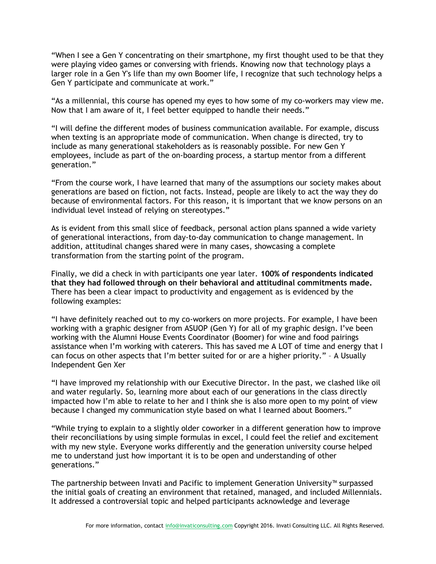"When I see a Gen Y concentrating on their smartphone, my first thought used to be that they were playing video games or conversing with friends. Knowing now that technology plays a larger role in a Gen Y's life than my own Boomer life, I recognize that such technology helps a Gen Y participate and communicate at work."

"As a millennial, this course has opened my eyes to how some of my co-workers may view me. Now that I am aware of it, I feel better equipped to handle their needs."

"I will define the different modes of business communication available. For example, discuss when texting is an appropriate mode of communication. When change is directed, try to include as many generational stakeholders as is reasonably possible. For new Gen Y employees, include as part of the on-boarding process, a startup mentor from a different generation."

"From the course work, I have learned that many of the assumptions our society makes about generations are based on fiction, not facts. Instead, people are likely to act the way they do because of environmental factors. For this reason, it is important that we know persons on an individual level instead of relying on stereotypes."

As is evident from this small slice of feedback, personal action plans spanned a wide variety of generational interactions, from day-to-day communication to change management. In addition, attitudinal changes shared were in many cases, showcasing a complete transformation from the starting point of the program.

Finally, we did a check in with participants one year later. **100% of respondents indicated that they had followed through on their behavioral and attitudinal commitments made.**  There has been a clear impact to productivity and engagement as is evidenced by the following examples:

"I have definitely reached out to my co-workers on more projects. For example, I have been working with a graphic designer from ASUOP (Gen Y) for all of my graphic design. I've been working with the Alumni House Events Coordinator (Boomer) for wine and food pairings assistance when I'm working with caterers. This has saved me A LOT of time and energy that I can focus on other aspects that I'm better suited for or are a higher priority." – A Usually Independent Gen Xer

"I have improved my relationship with our Executive Director. In the past, we clashed like oil and water regularly. So, learning more about each of our generations in the class directly impacted how I'm able to relate to her and I think she is also more open to my point of view because I changed my communication style based on what I learned about Boomers."

"While trying to explain to a slightly older coworker in a different generation how to improve their reconciliations by using simple formulas in excel, I could feel the relief and excitement with my new style. Everyone works differently and the generation university course helped me to understand just how important it is to be open and understanding of other generations."

The partnership between Invati and Pacific to implement Generation University™ surpassed the initial goals of creating an environment that retained, managed, and included Millennials. It addressed a controversial topic and helped participants acknowledge and leverage